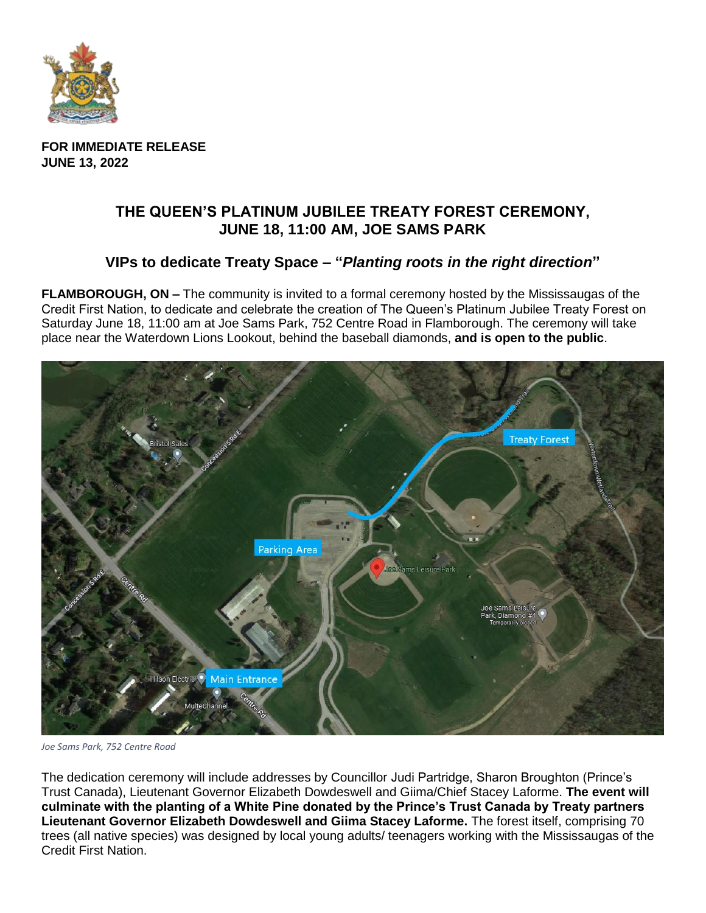

**FOR IMMEDIATE RELEASE JUNE 13, 2022**

## **THE QUEEN'S PLATINUM JUBILEE TREATY FOREST CEREMONY, JUNE 18, 11:00 AM, JOE SAMS PARK**

## **VIPs to dedicate Treaty Space – "***Planting roots in the right direction***"**

**FLAMBOROUGH, ON –** The community is invited to a formal ceremony hosted by the Mississaugas of the Credit First Nation, to dedicate and celebrate the creation of The Queen's Platinum Jubilee Treaty Forest on Saturday June 18, 11:00 am at Joe Sams Park, 752 Centre Road in Flamborough. The ceremony will take place near the Waterdown Lions Lookout, behind the baseball diamonds, **and is open to the public**.



*Joe Sams Park, 752 Centre Road*

The dedication ceremony will include addresses by Councillor Judi Partridge, Sharon Broughton (Prince's Trust Canada), Lieutenant Governor Elizabeth Dowdeswell and Giima/Chief Stacey Laforme. **The event will culminate with the planting of a White Pine donated by the Prince's Trust Canada by Treaty partners Lieutenant Governor Elizabeth Dowdeswell and Giima Stacey Laforme.** The forest itself, comprising 70 trees (all native species) was designed by local young adults/ teenagers working with the Mississaugas of the Credit First Nation.